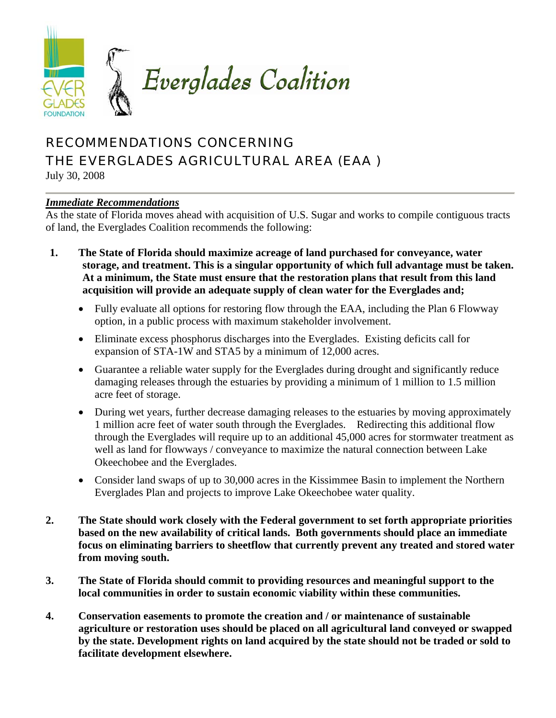

## RECOMMENDATIONS CONCERNING THE EVERGLADES AGRICULTURAL AREA (EAA )

July 30, 2008

## *Immediate Recommendations*

As the state of Florida moves ahead with acquisition of U.S. Sugar and works to compile contiguous tracts of land, the Everglades Coalition recommends the following:

- **1. The State of Florida should maximize acreage of land purchased for conveyance, water storage, and treatment. This is a singular opportunity of which full advantage must be taken. At a minimum, the State must ensure that the restoration plans that result from this land acquisition will provide an adequate supply of clean water for the Everglades and;** 
	- Fully evaluate all options for restoring flow through the EAA, including the Plan 6 Flowway option, in a public process with maximum stakeholder involvement.
	- Eliminate excess phosphorus discharges into the Everglades. Existing deficits call for expansion of STA-1W and STA5 by a minimum of 12,000 acres.
	- Guarantee a reliable water supply for the Everglades during drought and significantly reduce damaging releases through the estuaries by providing a minimum of 1 million to 1.5 million acre feet of storage.
	- During wet years, further decrease damaging releases to the estuaries by moving approximately 1 million acre feet of water south through the Everglades. Redirecting this additional flow through the Everglades will require up to an additional 45,000 acres for stormwater treatment as well as land for flowways / conveyance to maximize the natural connection between Lake Okeechobee and the Everglades.
	- Consider land swaps of up to 30,000 acres in the Kissimmee Basin to implement the Northern Everglades Plan and projects to improve Lake Okeechobee water quality.
- **2. The State should work closely with the Federal government to set forth appropriate priorities based on the new availability of critical lands. Both governments should place an immediate focus on eliminating barriers to sheetflow that currently prevent any treated and stored water from moving south.**
- **3. The State of Florida should commit to providing resources and meaningful support to the local communities in order to sustain economic viability within these communities.**
- **4. Conservation easements to promote the creation and / or maintenance of sustainable agriculture or restoration uses should be placed on all agricultural land conveyed or swapped by the state. Development rights on land acquired by the state should not be traded or sold to facilitate development elsewhere.**